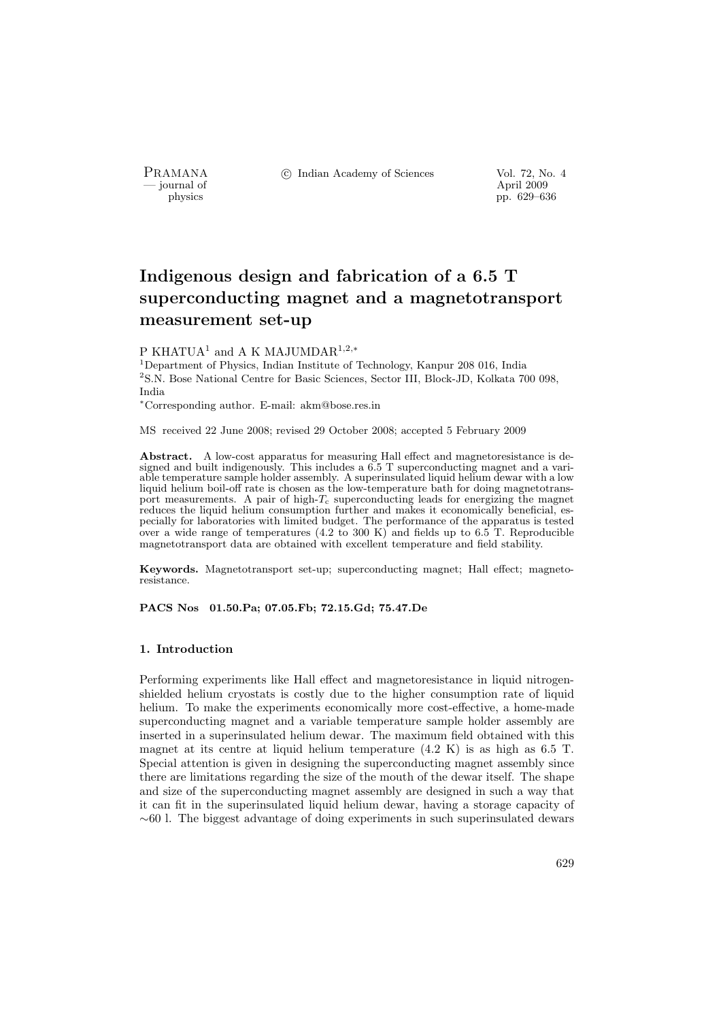- journal of<br>physics

PRAMANA <sup>©</sup>© Indian Academy of Sciences Vol. 72, No. 4<br>
— journal of April 2009

pp. 629–636

# Indigenous design and fabrication of a 6.5 T superconducting magnet and a magnetotransport measurement set-up

P KHATUA<sup>1</sup> and A K MAJUMDAR<sup>1,2,∗</sup>

<sup>1</sup>Department of Physics, Indian Institute of Technology, Kanpur 208 016, India <sup>2</sup>S.N. Bose National Centre for Basic Sciences, Sector III, Block-JD, Kolkata 700 098, India

<sup>∗</sup>Corresponding author. E-mail: akm@bose.res.in

MS received 22 June 2008; revised 29 October 2008; accepted 5 February 2009

Abstract. A low-cost apparatus for measuring Hall effect and magnetoresistance is designed and built indigenously. This includes a  $6.5$  T superconducting magnet and a variable temperature sample holder assembly. A superinsulated liquid helium dewar with a low liquid helium boil-off rate is chosen as the low-temperature bath for doing magnetotransport measurements. A pair of high- $T_c$  superconducting leads for energizing the magnet reduces the liquid helium consumption further and makes it economically beneficial, especially for laboratories with limited budget. The performance of the apparatus is tested over a wide range of temperatures (4.2 to 300 K) and fields up to 6.5 T. Reproducible magnetotransport data are obtained with excellent temperature and field stability.

Keywords. Magnetotransport set-up; superconducting magnet; Hall effect; magnetoresistance.

PACS Nos 01.50.Pa; 07.05.Fb; 72.15.Gd; 75.47.De

### 1. Introduction

Performing experiments like Hall effect and magnetoresistance in liquid nitrogenshielded helium cryostats is costly due to the higher consumption rate of liquid helium. To make the experiments economically more cost-effective, a home-made superconducting magnet and a variable temperature sample holder assembly are inserted in a superinsulated helium dewar. The maximum field obtained with this magnet at its centre at liquid helium temperature (4.2 K) is as high as 6.5 T. Special attention is given in designing the superconducting magnet assembly since there are limitations regarding the size of the mouth of the dewar itself. The shape and size of the superconducting magnet assembly are designed in such a way that it can fit in the superinsulated liquid helium dewar, having a storage capacity of  $~\sim 60$  l. The biggest advantage of doing experiments in such superinsulated dewars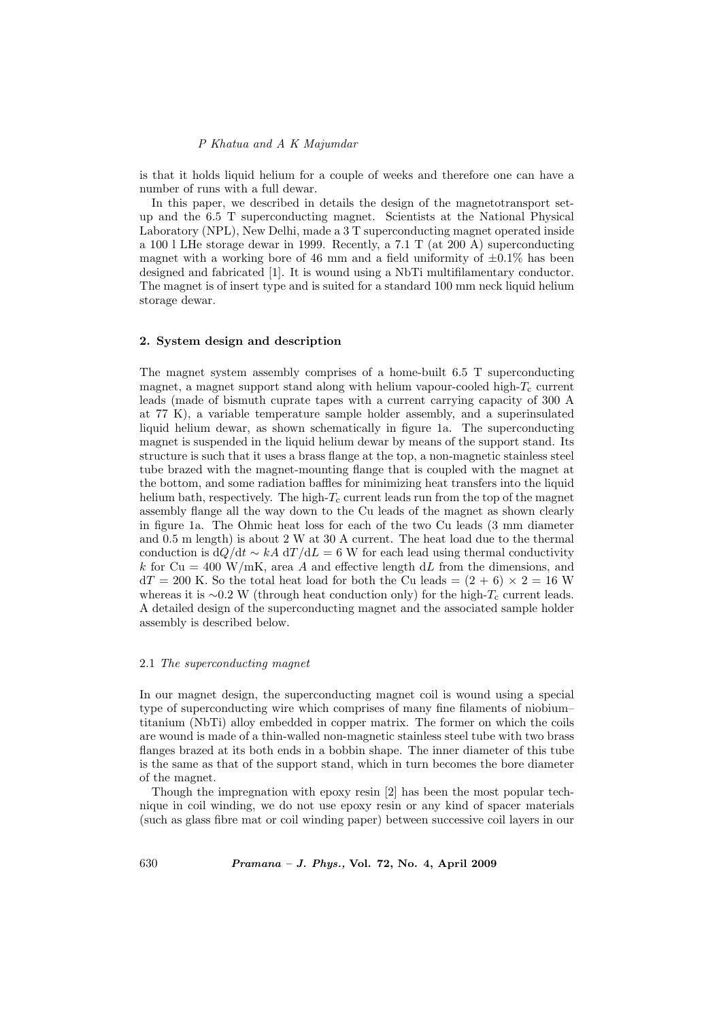#### P Khatua and A K Majumdar

is that it holds liquid helium for a couple of weeks and therefore one can have a number of runs with a full dewar.

In this paper, we described in details the design of the magnetotransport setup and the 6.5 T superconducting magnet. Scientists at the National Physical Laboratory (NPL), New Delhi, made a 3 T superconducting magnet operated inside a 100 l LHe storage dewar in 1999. Recently, a 7.1 T (at 200 A) superconducting magnet with a working bore of 46 mm and a field uniformity of  $\pm 0.1\%$  has been designed and fabricated [1]. It is wound using a NbTi multifilamentary conductor. The magnet is of insert type and is suited for a standard 100 mm neck liquid helium storage dewar.

#### 2. System design and description

The magnet system assembly comprises of a home-built 6.5 T superconducting magnet, a magnet support stand along with helium vapour-cooled high- $T_c$  current leads (made of bismuth cuprate tapes with a current carrying capacity of 300 A at 77 K), a variable temperature sample holder assembly, and a superinsulated liquid helium dewar, as shown schematically in figure 1a. The superconducting magnet is suspended in the liquid helium dewar by means of the support stand. Its structure is such that it uses a brass flange at the top, a non-magnetic stainless steel tube brazed with the magnet-mounting flange that is coupled with the magnet at the bottom, and some radiation baffles for minimizing heat transfers into the liquid helium bath, respectively. The high- $T_c$  current leads run from the top of the magnet assembly flange all the way down to the Cu leads of the magnet as shown clearly in figure 1a. The Ohmic heat loss for each of the two Cu leads (3 mm diameter and 0.5 m length) is about 2 W at 30 A current. The heat load due to the thermal conduction is  $dQ/dt \sim kA dT/dL = 6$  W for each lead using thermal conductivity k for Cu = 400 W/mK, area A and effective length dL from the dimensions, and  $dT = 200$  K. So the total heat load for both the Cu leads  $= (2 + 6) \times 2 = 16$  W whereas it is ~0.2 W (through heat conduction only) for the high- $T_c$  current leads. A detailed design of the superconducting magnet and the associated sample holder assembly is described below.

#### 2.1 The superconducting magnet

In our magnet design, the superconducting magnet coil is wound using a special type of superconducting wire which comprises of many fine filaments of niobium– titanium (NbTi) alloy embedded in copper matrix. The former on which the coils are wound is made of a thin-walled non-magnetic stainless steel tube with two brass flanges brazed at its both ends in a bobbin shape. The inner diameter of this tube is the same as that of the support stand, which in turn becomes the bore diameter of the magnet.

Though the impregnation with epoxy resin [2] has been the most popular technique in coil winding, we do not use epoxy resin or any kind of spacer materials (such as glass fibre mat or coil winding paper) between successive coil layers in our

630 Pramana – J. Phys., Vol. 72, No. 4, April 2009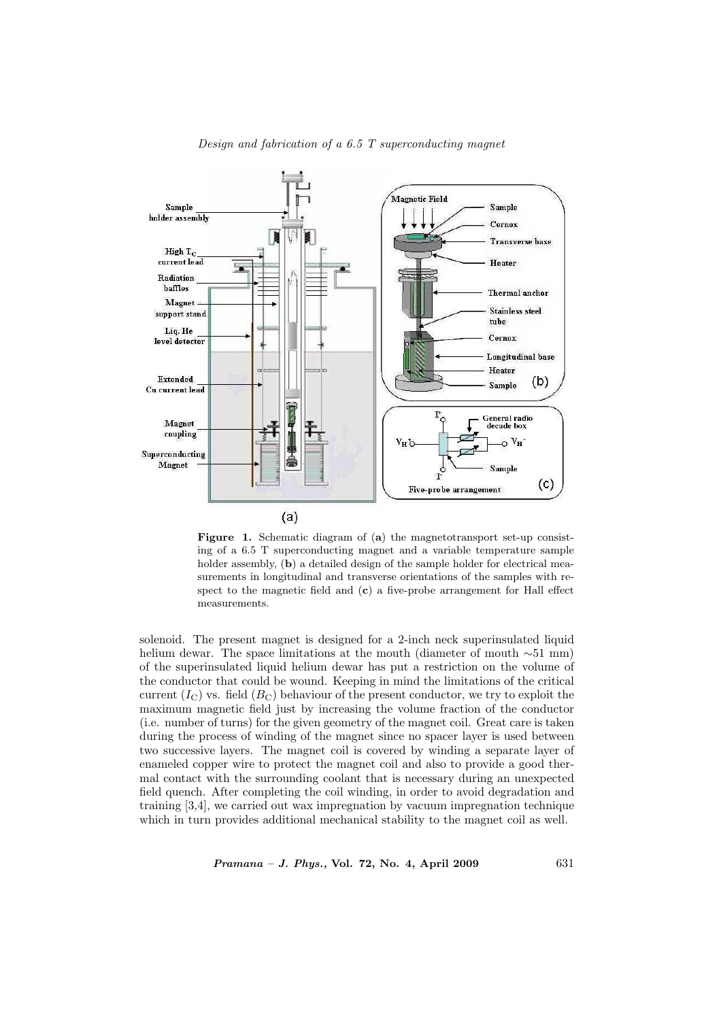

Design and fabrication of a 6.5 T superconducting magnet

Figure 1. Schematic diagram of (a) the magnetotransport set-up consisting of a 6.5 T superconducting magnet and a variable temperature sample holder assembly, (b) a detailed design of the sample holder for electrical measurements in longitudinal and transverse orientations of the samples with respect to the magnetic field and (c) a five-probe arrangement for Hall effect measurements.

solenoid. The present magnet is designed for a 2-inch neck superinsulated liquid helium dewar. The space limitations at the mouth (diameter of mouth ∼51 mm) of the superinsulated liquid helium dewar has put a restriction on the volume of the conductor that could be wound. Keeping in mind the limitations of the critical current  $(I_{\rm C})$  vs. field  $(B_{\rm C})$  behaviour of the present conductor, we try to exploit the maximum magnetic field just by increasing the volume fraction of the conductor (i.e. number of turns) for the given geometry of the magnet coil. Great care is taken during the process of winding of the magnet since no spacer layer is used between two successive layers. The magnet coil is covered by winding a separate layer of enameled copper wire to protect the magnet coil and also to provide a good thermal contact with the surrounding coolant that is necessary during an unexpected field quench. After completing the coil winding, in order to avoid degradation and training [3,4], we carried out wax impregnation by vacuum impregnation technique which in turn provides additional mechanical stability to the magnet coil as well.

*Pramana – J. Phys.*, Vol. 72, No. 4, April 2009  $631$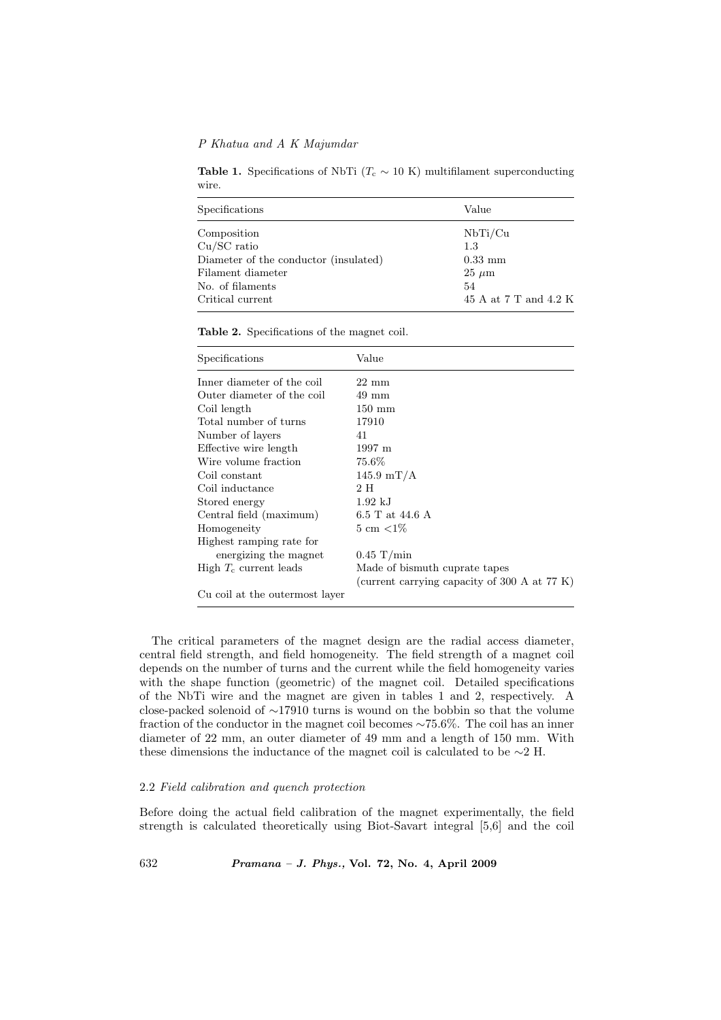P Khatua and A K Majumdar

Table 1. Specifications of NbTi ( $T_c \sim 10$  K) multifilament superconducting wire.

| Specifications                        | Value                 |
|---------------------------------------|-----------------------|
| Composition                           | NbTi/Cu               |
| $Cu/SC$ ratio                         | 1.3                   |
| Diameter of the conductor (insulated) | $0.33 \text{ mm}$     |
| Filament diameter                     | $25 \mu m$            |
| No. of filaments                      | 54                    |
| Critical current                      | 45 A at 7 T and 4.2 K |

Table 2. Specifications of the magnet coil.

| Specifications                 | Value                                                                         |
|--------------------------------|-------------------------------------------------------------------------------|
| Inner diameter of the coil     | $22 \text{ mm}$                                                               |
| Outer diameter of the coil     | $49 \text{ mm}$                                                               |
| Coil length                    | $150 \text{ mm}$                                                              |
| Total number of turns          | 17910                                                                         |
| Number of layers               | 41                                                                            |
| Effective wire length          | $1997 \text{ m}$                                                              |
| Wire volume fraction           | 75.6%                                                                         |
| Coil constant                  | $145.9 \text{ mT/A}$                                                          |
| Coil inductance                | 2 H                                                                           |
| Stored energy                  | $1.92$ kJ                                                                     |
| Central field (maximum)        | 6.5 T at 44.6 A                                                               |
| Homogeneity                    | $5 \text{ cm} < 1\%$                                                          |
| Highest ramping rate for       |                                                                               |
| energizing the magnet          | $0.45$ T/min                                                                  |
| High $T_c$ current leads       | Made of bismuth cuprate tapes<br>(current carrying capacity of 300 A at 77 K) |
| Cu coil at the outermost layer |                                                                               |

The critical parameters of the magnet design are the radial access diameter, central field strength, and field homogeneity. The field strength of a magnet coil depends on the number of turns and the current while the field homogeneity varies with the shape function (geometric) of the magnet coil. Detailed specifications of the NbTi wire and the magnet are given in tables 1 and 2, respectively. A close-packed solenoid of ∼17910 turns is wound on the bobbin so that the volume fraction of the conductor in the magnet coil becomes ∼75.6%. The coil has an inner diameter of 22 mm, an outer diameter of 49 mm and a length of 150 mm. With these dimensions the inductance of the magnet coil is calculated to be ∼2 H.

#### 2.2 Field calibration and quench protection

Before doing the actual field calibration of the magnet experimentally, the field strength is calculated theoretically using Biot-Savart integral [5,6] and the coil

632 Pramana – J. Phys., Vol. 72, No. 4, April 2009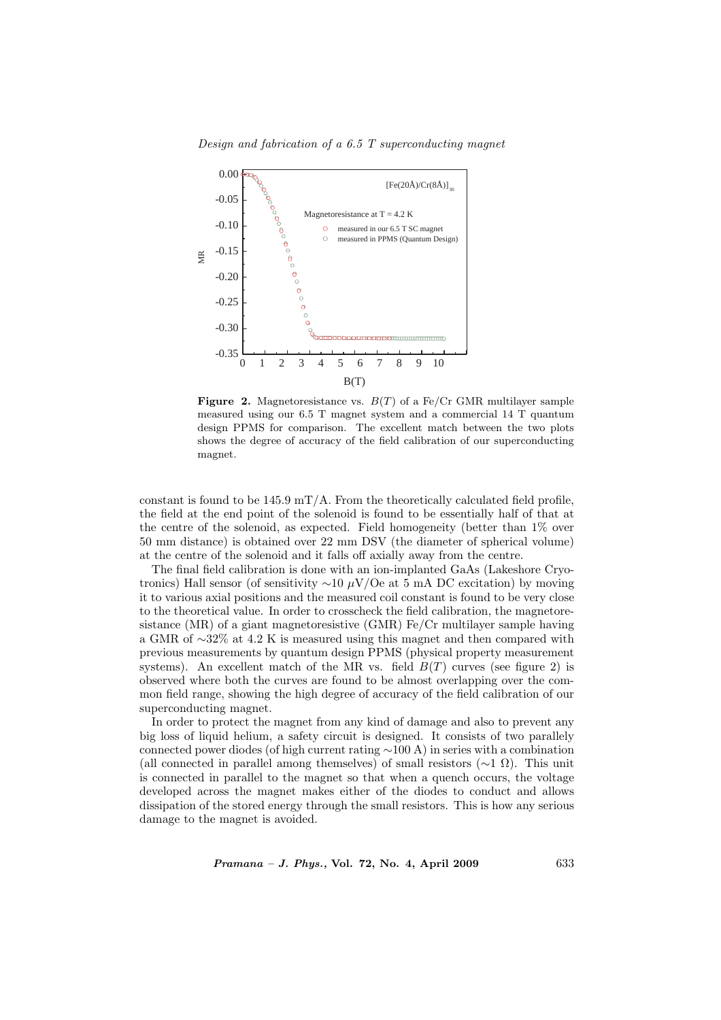Design and fabrication of a 6.5 T superconducting magnet



**Figure 2.** Magnetoresistance vs.  $B(T)$  of a Fe/Cr GMR multilayer sample measured using our 6.5 T magnet system and a commercial 14 T quantum design PPMS for comparison. The excellent match between the two plots shows the degree of accuracy of the field calibration of our superconducting magnet.

constant is found to be  $145.9 \text{ mT/A}$ . From the theoretically calculated field profile, the field at the end point of the solenoid is found to be essentially half of that at the centre of the solenoid, as expected. Field homogeneity (better than 1% over 50 mm distance) is obtained over 22 mm DSV (the diameter of spherical volume) at the centre of the solenoid and it falls off axially away from the centre.

The final field calibration is done with an ion-implanted GaAs (Lakeshore Cryotronics) Hall sensor (of sensitivity  $\sim$ 10 µV/Oe at 5 mA DC excitation) by moving it to various axial positions and the measured coil constant is found to be very close to the theoretical value. In order to crosscheck the field calibration, the magnetoresistance (MR) of a giant magnetoresistive (GMR) Fe/Cr multilayer sample having a GMR of ∼32% at 4.2 K is measured using this magnet and then compared with previous measurements by quantum design PPMS (physical property measurement systems). An excellent match of the MR vs. field  $B(T)$  curves (see figure 2) is observed where both the curves are found to be almost overlapping over the common field range, showing the high degree of accuracy of the field calibration of our superconducting magnet.

In order to protect the magnet from any kind of damage and also to prevent any big loss of liquid helium, a safety circuit is designed. It consists of two parallely connected power diodes (of high current rating ∼100 A) in series with a combination (all connected in parallel among themselves) of small resistors ( $\sim$ 1  $\Omega$ ). This unit is connected in parallel to the magnet so that when a quench occurs, the voltage developed across the magnet makes either of the diodes to conduct and allows dissipation of the stored energy through the small resistors. This is how any serious damage to the magnet is avoided.

 $Pramana - J. Phys., Vol. 72, No. 4, April 2009$  633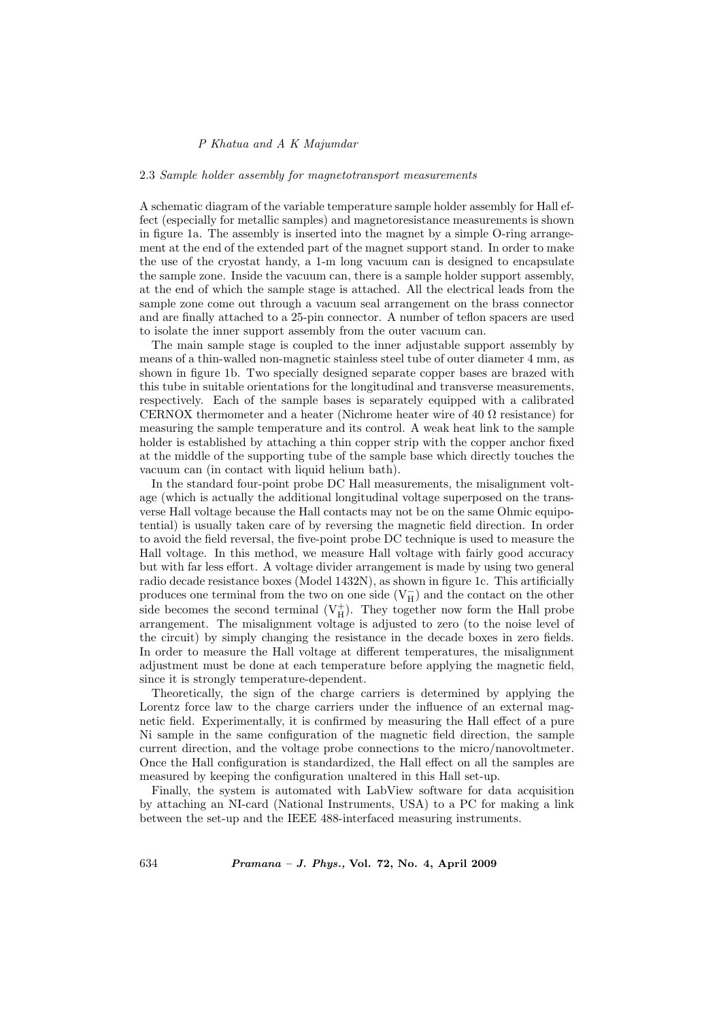#### P Khatua and A K Majumdar

#### 2.3 Sample holder assembly for magnetotransport measurements

A schematic diagram of the variable temperature sample holder assembly for Hall effect (especially for metallic samples) and magnetoresistance measurements is shown in figure 1a. The assembly is inserted into the magnet by a simple O-ring arrangement at the end of the extended part of the magnet support stand. In order to make the use of the cryostat handy, a 1-m long vacuum can is designed to encapsulate the sample zone. Inside the vacuum can, there is a sample holder support assembly, at the end of which the sample stage is attached. All the electrical leads from the sample zone come out through a vacuum seal arrangement on the brass connector and are finally attached to a 25-pin connector. A number of teflon spacers are used to isolate the inner support assembly from the outer vacuum can.

The main sample stage is coupled to the inner adjustable support assembly by means of a thin-walled non-magnetic stainless steel tube of outer diameter 4 mm, as shown in figure 1b. Two specially designed separate copper bases are brazed with this tube in suitable orientations for the longitudinal and transverse measurements, respectively. Each of the sample bases is separately equipped with a calibrated CERNOX thermometer and a heater (Nichrome heater wire of  $40 \Omega$  resistance) for measuring the sample temperature and its control. A weak heat link to the sample holder is established by attaching a thin copper strip with the copper anchor fixed at the middle of the supporting tube of the sample base which directly touches the vacuum can (in contact with liquid helium bath).

In the standard four-point probe DC Hall measurements, the misalignment voltage (which is actually the additional longitudinal voltage superposed on the transverse Hall voltage because the Hall contacts may not be on the same Ohmic equipotential) is usually taken care of by reversing the magnetic field direction. In order to avoid the field reversal, the five-point probe DC technique is used to measure the Hall voltage. In this method, we measure Hall voltage with fairly good accuracy but with far less effort. A voltage divider arrangement is made by using two general radio decade resistance boxes (Model 1432N), as shown in figure 1c. This artificially produces one terminal from the two on one side  $(V_H^-)$  and the contact on the other side becomes the second terminal  $(V_H^+)$ . They together now form the Hall probe arrangement. The misalignment voltage is adjusted to zero (to the noise level of the circuit) by simply changing the resistance in the decade boxes in zero fields. In order to measure the Hall voltage at different temperatures, the misalignment adjustment must be done at each temperature before applying the magnetic field, since it is strongly temperature-dependent.

Theoretically, the sign of the charge carriers is determined by applying the Lorentz force law to the charge carriers under the influence of an external magnetic field. Experimentally, it is confirmed by measuring the Hall effect of a pure Ni sample in the same configuration of the magnetic field direction, the sample current direction, and the voltage probe connections to the micro/nanovoltmeter. Once the Hall configuration is standardized, the Hall effect on all the samples are measured by keeping the configuration unaltered in this Hall set-up.

Finally, the system is automated with LabView software for data acquisition by attaching an NI-card (National Instruments, USA) to a PC for making a link between the set-up and the IEEE 488-interfaced measuring instruments.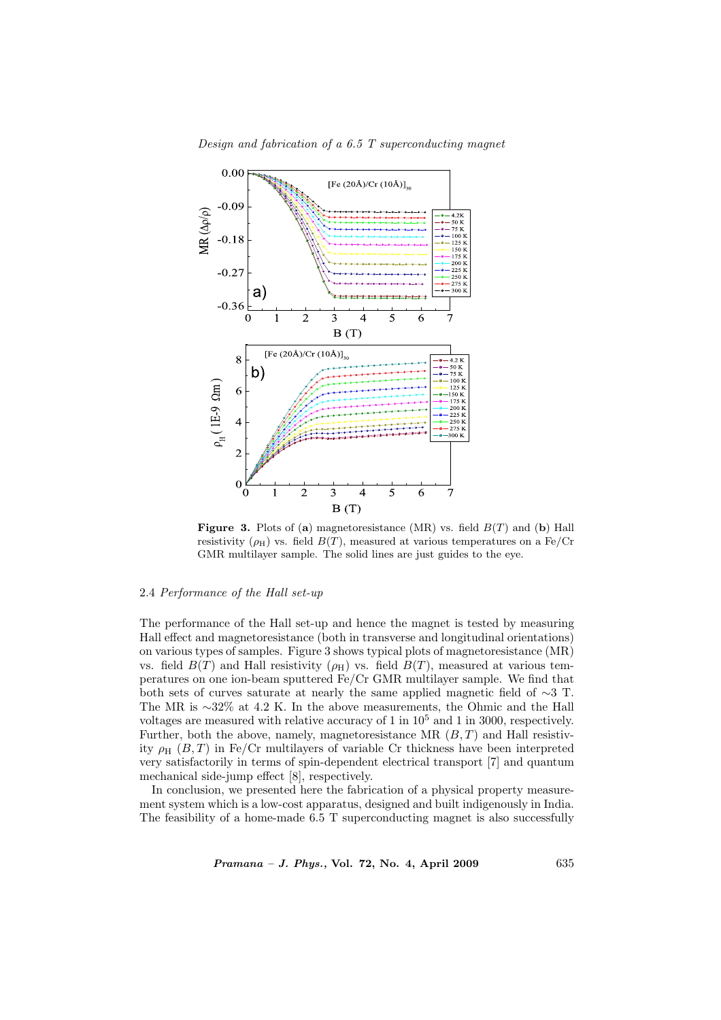



**Figure 3.** Plots of (a) magnetoresistance (MR) vs. field  $B(T)$  and (b) Hall resistivity ( $\rho$ H) vs. field  $B(T)$ , measured at various temperatures on a Fe/Cr GMR multilayer sample. The solid lines are just guides to the eve.

# 2.4 Performance of the Hall set-up

The performance of the Hall set-up and hence the magnet is tested by measuring Hall effect and magnetoresistance (both in transverse and longitudinal orientations) on various types of samples. Figure 3 shows typical plots of magnetoresistance (MR) vs. field  $B(T)$  and Hall resistivity  $(\rho_H)$  vs. field  $B(T)$ , measured at various temperatures on one ion-beam sputtered Fe/Cr GMR multilayer sample. We find that both sets of curves saturate at nearly the same applied magnetic field of ∼3 T. The MR is ∼32% at 4.2 K. In the above measurements, the Ohmic and the Hall voltages are measured with relative accuracy of 1 in  $10^5$  and 1 in 3000, respectively. Further, both the above, namely, magnetoresistance MR  $(B, T)$  and Hall resistivity  $\rho_H$  (B, T) in Fe/Cr multilayers of variable Cr thickness have been interpreted very satisfactorily in terms of spin-dependent electrical transport [7] and quantum mechanical side-jump effect [8], respectively.

In conclusion, we presented here the fabrication of a physical property measurement system which is a low-cost apparatus, designed and built indigenously in India. The feasibility of a home-made 6.5 T superconducting magnet is also successfully

Pramana – J. Phys., Vol. 72, No. 4, April 2009 635